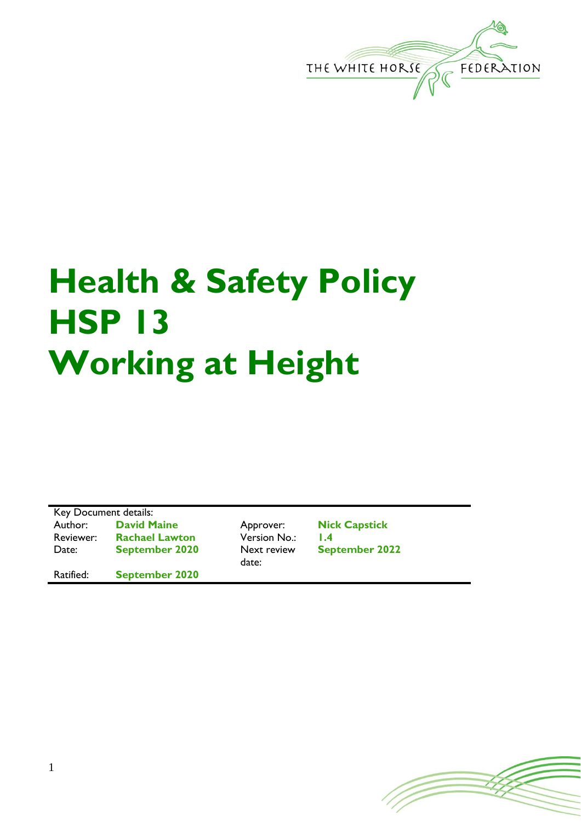

## **Health & Safety Policy HSP 13 Working at Height**

Key Document details: Author: **David Maine** Approver: **Nick Capstick** Reviewer: **Rachael Lawton** Version No.: 1.4<br>Date: **September 2020** Next review Sep Date: **September 2020** 

Ratified: **September 2020**

date:

**September 2022**

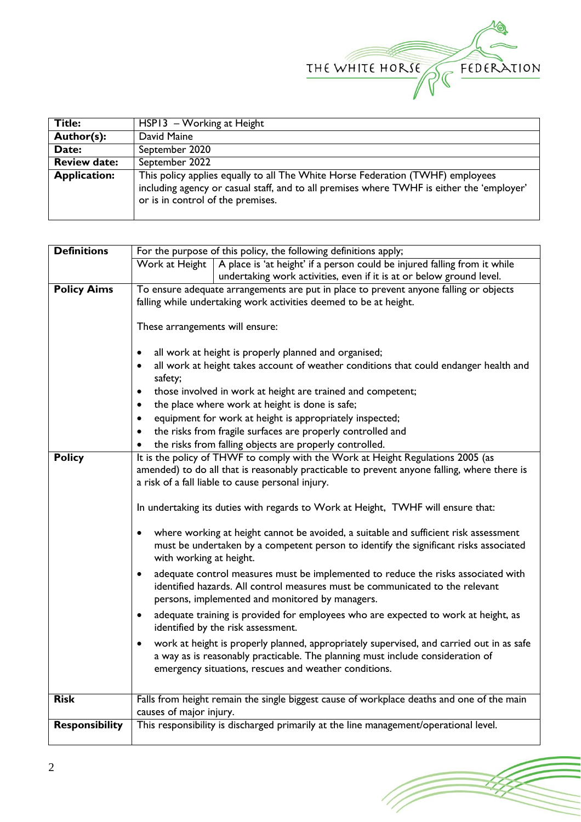

(T

| <b>Title:</b>       | HSP13 – Working at Height                                                                                                                                                                                        |  |
|---------------------|------------------------------------------------------------------------------------------------------------------------------------------------------------------------------------------------------------------|--|
| Author(s):          | David Maine                                                                                                                                                                                                      |  |
| Date:               | September 2020                                                                                                                                                                                                   |  |
| <b>Review date:</b> | September 2022                                                                                                                                                                                                   |  |
| <b>Application:</b> | This policy applies equally to all The White Horse Federation (TWHF) employees<br>including agency or casual staff, and to all premises where TWHF is either the 'employer'<br>or is in control of the premises. |  |

| <b>Definitions</b>    | For the purpose of this policy, the following definitions apply;                               |                                                                                                                                                                                                                                                                                                                                                                                                                                                                                                                                                                                                                                                                                                                                                                                                                                                               |  |  |
|-----------------------|------------------------------------------------------------------------------------------------|---------------------------------------------------------------------------------------------------------------------------------------------------------------------------------------------------------------------------------------------------------------------------------------------------------------------------------------------------------------------------------------------------------------------------------------------------------------------------------------------------------------------------------------------------------------------------------------------------------------------------------------------------------------------------------------------------------------------------------------------------------------------------------------------------------------------------------------------------------------|--|--|
|                       | A place is 'at height' if a person could be injured falling from it while<br>Work at Height    |                                                                                                                                                                                                                                                                                                                                                                                                                                                                                                                                                                                                                                                                                                                                                                                                                                                               |  |  |
|                       |                                                                                                | undertaking work activities, even if it is at or below ground level.                                                                                                                                                                                                                                                                                                                                                                                                                                                                                                                                                                                                                                                                                                                                                                                          |  |  |
| <b>Policy Aims</b>    | These arrangements will ensure:<br>$\bullet$<br>$\bullet$<br>safety;<br>$\bullet$<br>$\bullet$ | To ensure adequate arrangements are put in place to prevent anyone falling or objects<br>falling while undertaking work activities deemed to be at height.<br>all work at height is properly planned and organised;<br>all work at height takes account of weather conditions that could endanger health and<br>those involved in work at height are trained and competent;<br>the place where work at height is done is safe;                                                                                                                                                                                                                                                                                                                                                                                                                                |  |  |
|                       | $\bullet$                                                                                      | equipment for work at height is appropriately inspected;                                                                                                                                                                                                                                                                                                                                                                                                                                                                                                                                                                                                                                                                                                                                                                                                      |  |  |
|                       | $\bullet$                                                                                      | the risks from fragile surfaces are properly controlled and                                                                                                                                                                                                                                                                                                                                                                                                                                                                                                                                                                                                                                                                                                                                                                                                   |  |  |
|                       |                                                                                                | the risks from falling objects are properly controlled.                                                                                                                                                                                                                                                                                                                                                                                                                                                                                                                                                                                                                                                                                                                                                                                                       |  |  |
| <b>Policy</b>         | $\bullet$<br>with working at height.<br>$\bullet$<br>$\bullet$                                 | It is the policy of THWF to comply with the Work at Height Regulations 2005 (as<br>amended) to do all that is reasonably practicable to prevent anyone falling, where there is<br>a risk of a fall liable to cause personal injury.<br>In undertaking its duties with regards to Work at Height, TWHF will ensure that:<br>where working at height cannot be avoided, a suitable and sufficient risk assessment<br>must be undertaken by a competent person to identify the significant risks associated<br>adequate control measures must be implemented to reduce the risks associated with<br>identified hazards. All control measures must be communicated to the relevant<br>persons, implemented and monitored by managers.<br>adequate training is provided for employees who are expected to work at height, as<br>identified by the risk assessment. |  |  |
|                       | $\bullet$                                                                                      | work at height is properly planned, appropriately supervised, and carried out in as safe<br>a way as is reasonably practicable. The planning must include consideration of<br>emergency situations, rescues and weather conditions.                                                                                                                                                                                                                                                                                                                                                                                                                                                                                                                                                                                                                           |  |  |
| <b>Risk</b>           | causes of major injury.                                                                        | Falls from height remain the single biggest cause of workplace deaths and one of the main                                                                                                                                                                                                                                                                                                                                                                                                                                                                                                                                                                                                                                                                                                                                                                     |  |  |
| <b>Responsibility</b> |                                                                                                | This responsibility is discharged primarily at the line management/operational level.                                                                                                                                                                                                                                                                                                                                                                                                                                                                                                                                                                                                                                                                                                                                                                         |  |  |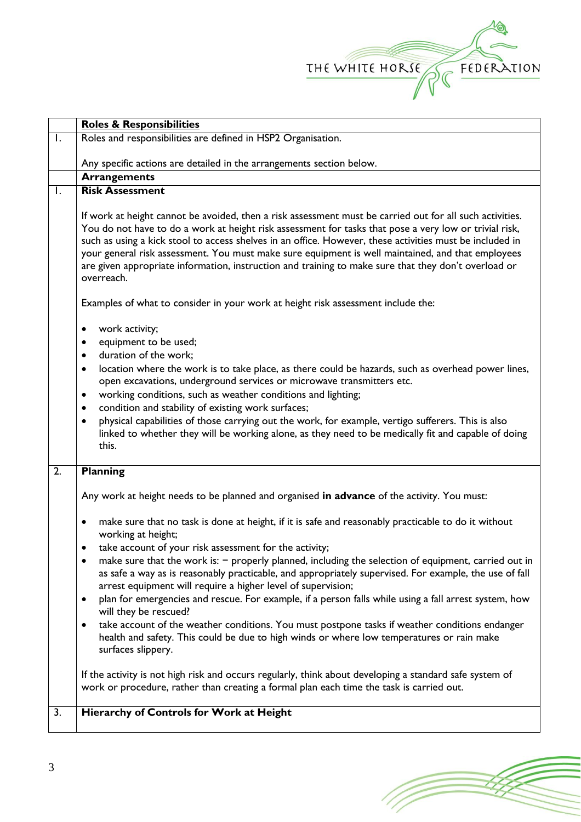

(Toponial)

|                         | <b>Roles &amp; Responsibilities</b>                                                                                                                                                                                                                                                                                                                                                                                                                                                                                                                                                                                                                                    |
|-------------------------|------------------------------------------------------------------------------------------------------------------------------------------------------------------------------------------------------------------------------------------------------------------------------------------------------------------------------------------------------------------------------------------------------------------------------------------------------------------------------------------------------------------------------------------------------------------------------------------------------------------------------------------------------------------------|
| $\overline{\mathsf{L}}$ | Roles and responsibilities are defined in HSP2 Organisation.                                                                                                                                                                                                                                                                                                                                                                                                                                                                                                                                                                                                           |
|                         | Any specific actions are detailed in the arrangements section below.                                                                                                                                                                                                                                                                                                                                                                                                                                                                                                                                                                                                   |
|                         | <b>Arrangements</b>                                                                                                                                                                                                                                                                                                                                                                                                                                                                                                                                                                                                                                                    |
| $\mathsf{I}$ .          | <b>Risk Assessment</b>                                                                                                                                                                                                                                                                                                                                                                                                                                                                                                                                                                                                                                                 |
|                         | If work at height cannot be avoided, then a risk assessment must be carried out for all such activities.<br>You do not have to do a work at height risk assessment for tasks that pose a very low or trivial risk,<br>such as using a kick stool to access shelves in an office. However, these activities must be included in<br>your general risk assessment. You must make sure equipment is well maintained, and that employees<br>are given appropriate information, instruction and training to make sure that they don't overload or<br>overreach.                                                                                                              |
|                         | Examples of what to consider in your work at height risk assessment include the:                                                                                                                                                                                                                                                                                                                                                                                                                                                                                                                                                                                       |
|                         | work activity;<br>$\bullet$<br>equipment to be used;<br>٠<br>duration of the work;<br>٠<br>location where the work is to take place, as there could be hazards, such as overhead power lines,<br>$\bullet$<br>open excavations, underground services or microwave transmitters etc.<br>working conditions, such as weather conditions and lighting;<br>$\bullet$<br>condition and stability of existing work surfaces;<br>$\bullet$<br>physical capabilities of those carrying out the work, for example, vertigo sufferers. This is also<br>$\bullet$<br>linked to whether they will be working alone, as they need to be medically fit and capable of doing<br>this. |
| $\overline{2}$ .        | <b>Planning</b>                                                                                                                                                                                                                                                                                                                                                                                                                                                                                                                                                                                                                                                        |
|                         | Any work at height needs to be planned and organised in advance of the activity. You must:                                                                                                                                                                                                                                                                                                                                                                                                                                                                                                                                                                             |
|                         | make sure that no task is done at height, if it is safe and reasonably practicable to do it without<br>$\bullet$<br>working at height;                                                                                                                                                                                                                                                                                                                                                                                                                                                                                                                                 |
|                         | take account of your risk assessment for the activity;<br>٠                                                                                                                                                                                                                                                                                                                                                                                                                                                                                                                                                                                                            |
|                         | make sure that the work is: - properly planned, including the selection of equipment, carried out in<br>٠<br>as safe a way as is reasonably practicable, and appropriately supervised. For example, the use of fall<br>arrest equipment will require a higher level of supervision;                                                                                                                                                                                                                                                                                                                                                                                    |
|                         | plan for emergencies and rescue. For example, if a person falls while using a fall arrest system, how<br>$\bullet$<br>will they be rescued?                                                                                                                                                                                                                                                                                                                                                                                                                                                                                                                            |
|                         | take account of the weather conditions. You must postpone tasks if weather conditions endanger<br>٠<br>health and safety. This could be due to high winds or where low temperatures or rain make<br>surfaces slippery.                                                                                                                                                                                                                                                                                                                                                                                                                                                 |
|                         | If the activity is not high risk and occurs regularly, think about developing a standard safe system of<br>work or procedure, rather than creating a formal plan each time the task is carried out.                                                                                                                                                                                                                                                                                                                                                                                                                                                                    |
| 3.                      | Hierarchy of Controls for Work at Height                                                                                                                                                                                                                                                                                                                                                                                                                                                                                                                                                                                                                               |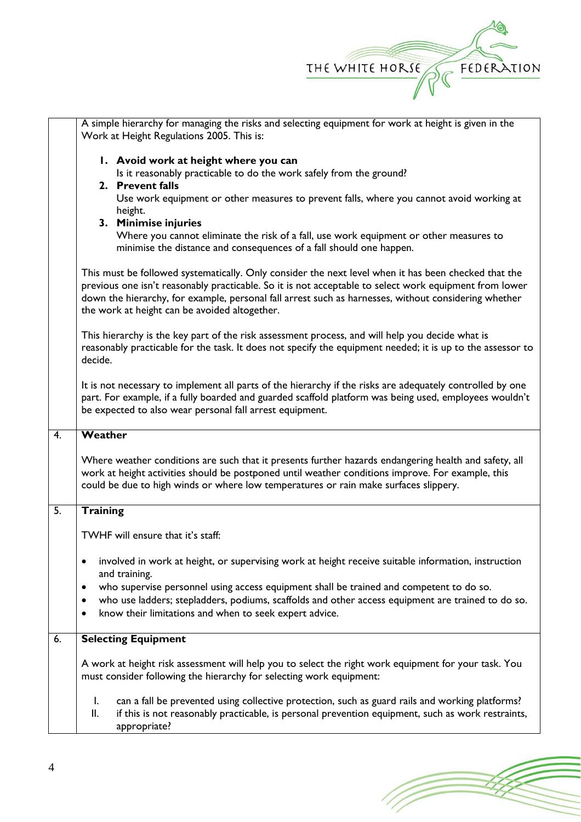

|                  | A simple hierarchy for managing the risks and selecting equipment for work at height is given in the<br>Work at Height Regulations 2005. This is:                                                                                                                                                                                                                       |
|------------------|-------------------------------------------------------------------------------------------------------------------------------------------------------------------------------------------------------------------------------------------------------------------------------------------------------------------------------------------------------------------------|
|                  | I. Avoid work at height where you can<br>Is it reasonably practicable to do the work safely from the ground?                                                                                                                                                                                                                                                            |
|                  | 2. Prevent falls<br>Use work equipment or other measures to prevent falls, where you cannot avoid working at<br>height.                                                                                                                                                                                                                                                 |
|                  | 3. Minimise injuries<br>Where you cannot eliminate the risk of a fall, use work equipment or other measures to<br>minimise the distance and consequences of a fall should one happen.                                                                                                                                                                                   |
|                  | This must be followed systematically. Only consider the next level when it has been checked that the<br>previous one isn't reasonably practicable. So it is not acceptable to select work equipment from lower<br>down the hierarchy, for example, personal fall arrest such as harnesses, without considering whether<br>the work at height can be avoided altogether. |
|                  | This hierarchy is the key part of the risk assessment process, and will help you decide what is<br>reasonably practicable for the task. It does not specify the equipment needed; it is up to the assessor to<br>decide.                                                                                                                                                |
|                  | It is not necessary to implement all parts of the hierarchy if the risks are adequately controlled by one<br>part. For example, if a fully boarded and guarded scaffold platform was being used, employees wouldn't<br>be expected to also wear personal fall arrest equipment.                                                                                         |
|                  |                                                                                                                                                                                                                                                                                                                                                                         |
| 4.               | Weather                                                                                                                                                                                                                                                                                                                                                                 |
|                  | Where weather conditions are such that it presents further hazards endangering health and safety, all<br>work at height activities should be postponed until weather conditions improve. For example, this<br>could be due to high winds or where low temperatures or rain make surfaces slippery.                                                                      |
| $\overline{5}$ . | <b>Training</b>                                                                                                                                                                                                                                                                                                                                                         |
|                  | TWHF will ensure that it's staff:                                                                                                                                                                                                                                                                                                                                       |
|                  | involved in work at height, or supervising work at height receive suitable information, instruction<br>$\bullet$                                                                                                                                                                                                                                                        |
|                  | and training.<br>who supervise personnel using access equipment shall be trained and competent to do so.<br>٠<br>who use ladders; stepladders, podiums, scaffolds and other access equipment are trained to do so.<br>٠<br>know their limitations and when to seek expert advice.<br>٠                                                                                  |
| 6.               | <b>Selecting Equipment</b>                                                                                                                                                                                                                                                                                                                                              |
|                  | A work at height risk assessment will help you to select the right work equipment for your task. You<br>must consider following the hierarchy for selecting work equipment:                                                                                                                                                                                             |

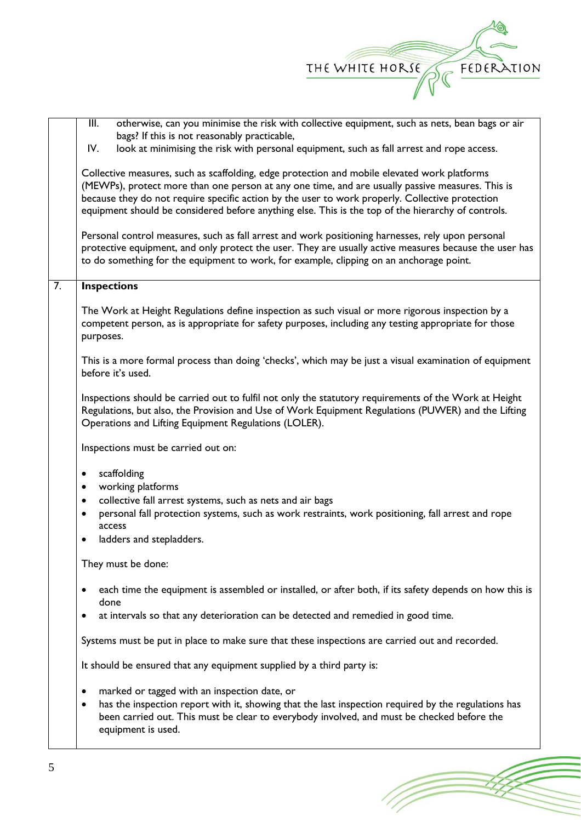

|                  | otherwise, can you minimise the risk with collective equipment, such as nets, bean bags or air<br>III.<br>bags? If this is not reasonably practicable,                                                                                                                                                                                                                                                    |  |  |  |
|------------------|-----------------------------------------------------------------------------------------------------------------------------------------------------------------------------------------------------------------------------------------------------------------------------------------------------------------------------------------------------------------------------------------------------------|--|--|--|
|                  | IV.<br>look at minimising the risk with personal equipment, such as fall arrest and rope access.                                                                                                                                                                                                                                                                                                          |  |  |  |
|                  | Collective measures, such as scaffolding, edge protection and mobile elevated work platforms<br>(MEWPs), protect more than one person at any one time, and are usually passive measures. This is<br>because they do not require specific action by the user to work properly. Collective protection<br>equipment should be considered before anything else. This is the top of the hierarchy of controls. |  |  |  |
|                  | Personal control measures, such as fall arrest and work positioning harnesses, rely upon personal<br>protective equipment, and only protect the user. They are usually active measures because the user has<br>to do something for the equipment to work, for example, clipping on an anchorage point.                                                                                                    |  |  |  |
| $\overline{7}$ . | <b>Inspections</b>                                                                                                                                                                                                                                                                                                                                                                                        |  |  |  |
|                  | The Work at Height Regulations define inspection as such visual or more rigorous inspection by a<br>competent person, as is appropriate for safety purposes, including any testing appropriate for those<br>purposes.                                                                                                                                                                                     |  |  |  |
|                  | This is a more formal process than doing 'checks', which may be just a visual examination of equipment<br>before it's used.                                                                                                                                                                                                                                                                               |  |  |  |
|                  | Inspections should be carried out to fulfil not only the statutory requirements of the Work at Height<br>Regulations, but also, the Provision and Use of Work Equipment Regulations (PUWER) and the Lifting<br>Operations and Lifting Equipment Regulations (LOLER).                                                                                                                                      |  |  |  |
|                  | Inspections must be carried out on:                                                                                                                                                                                                                                                                                                                                                                       |  |  |  |
|                  | scaffolding<br>$\bullet$<br>working platforms<br>٠<br>collective fall arrest systems, such as nets and air bags<br>$\bullet$<br>personal fall protection systems, such as work restraints, work positioning, fall arrest and rope<br>$\bullet$<br>access<br>ladders and stepladders.<br>$\bullet$                                                                                                         |  |  |  |
|                  | They must be done:                                                                                                                                                                                                                                                                                                                                                                                        |  |  |  |
|                  | each time the equipment is assembled or installed, or after both, if its safety depends on how this is<br>٠<br>done                                                                                                                                                                                                                                                                                       |  |  |  |
|                  | at intervals so that any deterioration can be detected and remedied in good time.<br>$\bullet$                                                                                                                                                                                                                                                                                                            |  |  |  |
|                  | Systems must be put in place to make sure that these inspections are carried out and recorded.                                                                                                                                                                                                                                                                                                            |  |  |  |
|                  | It should be ensured that any equipment supplied by a third party is:                                                                                                                                                                                                                                                                                                                                     |  |  |  |
|                  | marked or tagged with an inspection date, or<br>٠<br>has the inspection report with it, showing that the last inspection required by the regulations has<br>$\bullet$<br>been carried out. This must be clear to everybody involved, and must be checked before the<br>equipment is used.                                                                                                                 |  |  |  |

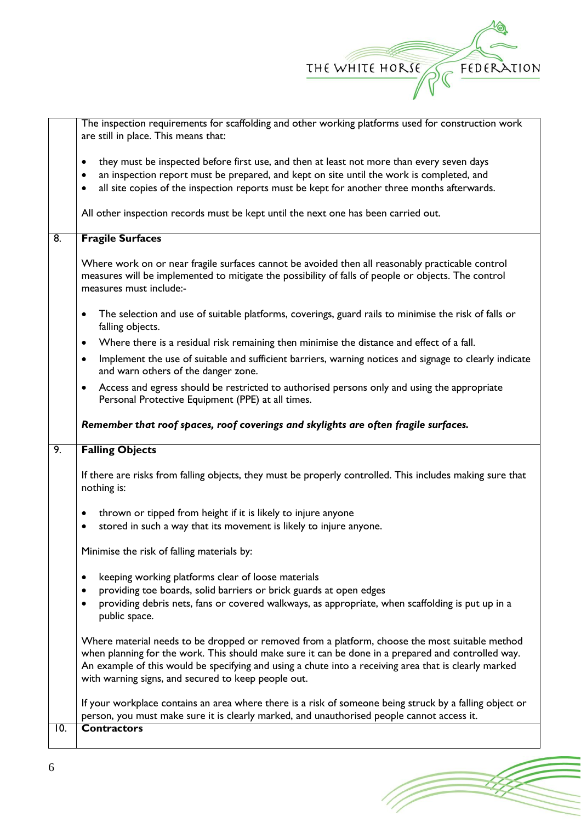

(Toponial)

|     | The inspection requirements for scaffolding and other working platforms used for construction work                                                                                                                                                                 |  |  |  |  |
|-----|--------------------------------------------------------------------------------------------------------------------------------------------------------------------------------------------------------------------------------------------------------------------|--|--|--|--|
|     | are still in place. This means that:                                                                                                                                                                                                                               |  |  |  |  |
|     |                                                                                                                                                                                                                                                                    |  |  |  |  |
|     | they must be inspected before first use, and then at least not more than every seven days<br>٠<br>an inspection report must be prepared, and kept on site until the work is completed, and                                                                         |  |  |  |  |
|     |                                                                                                                                                                                                                                                                    |  |  |  |  |
|     | all site copies of the inspection reports must be kept for another three months afterwards.                                                                                                                                                                        |  |  |  |  |
|     | All other inspection records must be kept until the next one has been carried out.                                                                                                                                                                                 |  |  |  |  |
| 8.  | <b>Fragile Surfaces</b>                                                                                                                                                                                                                                            |  |  |  |  |
|     | Where work on or near fragile surfaces cannot be avoided then all reasonably practicable control<br>measures will be implemented to mitigate the possibility of falls of people or objects. The control<br>measures must include:-                                 |  |  |  |  |
|     | The selection and use of suitable platforms, coverings, guard rails to minimise the risk of falls or<br>$\bullet$<br>falling objects.                                                                                                                              |  |  |  |  |
|     | Where there is a residual risk remaining then minimise the distance and effect of a fall.<br>٠                                                                                                                                                                     |  |  |  |  |
|     | Implement the use of suitable and sufficient barriers, warning notices and signage to clearly indicate<br>$\bullet$<br>and warn others of the danger zone.                                                                                                         |  |  |  |  |
|     | Access and egress should be restricted to authorised persons only and using the appropriate<br>٠<br>Personal Protective Equipment (PPE) at all times.                                                                                                              |  |  |  |  |
|     | Remember that roof spaces, roof coverings and skylights are often fragile surfaces.                                                                                                                                                                                |  |  |  |  |
| 9.  | <b>Falling Objects</b>                                                                                                                                                                                                                                             |  |  |  |  |
|     | If there are risks from falling objects, they must be properly controlled. This includes making sure that<br>nothing is:                                                                                                                                           |  |  |  |  |
|     | thrown or tipped from height if it is likely to injure anyone<br>٠                                                                                                                                                                                                 |  |  |  |  |
|     | stored in such a way that its movement is likely to injure anyone.<br>٠                                                                                                                                                                                            |  |  |  |  |
|     | Minimise the risk of falling materials by:                                                                                                                                                                                                                         |  |  |  |  |
|     | keeping working platforms clear of loose materials<br>٠                                                                                                                                                                                                            |  |  |  |  |
|     | providing toe boards, solid barriers or brick guards at open edges<br>٠                                                                                                                                                                                            |  |  |  |  |
|     | providing debris nets, fans or covered walkways, as appropriate, when scaffolding is put up in a<br>٠<br>public space.                                                                                                                                             |  |  |  |  |
|     | Where material needs to be dropped or removed from a platform, choose the most suitable method                                                                                                                                                                     |  |  |  |  |
|     | when planning for the work. This should make sure it can be done in a prepared and controlled way.<br>An example of this would be specifying and using a chute into a receiving area that is clearly marked<br>with warning signs, and secured to keep people out. |  |  |  |  |
|     | If your workplace contains an area where there is a risk of someone being struck by a falling object or<br>person, you must make sure it is clearly marked, and unauthorised people cannot access it.                                                              |  |  |  |  |
| 10. | <b>Contractors</b>                                                                                                                                                                                                                                                 |  |  |  |  |
|     |                                                                                                                                                                                                                                                                    |  |  |  |  |